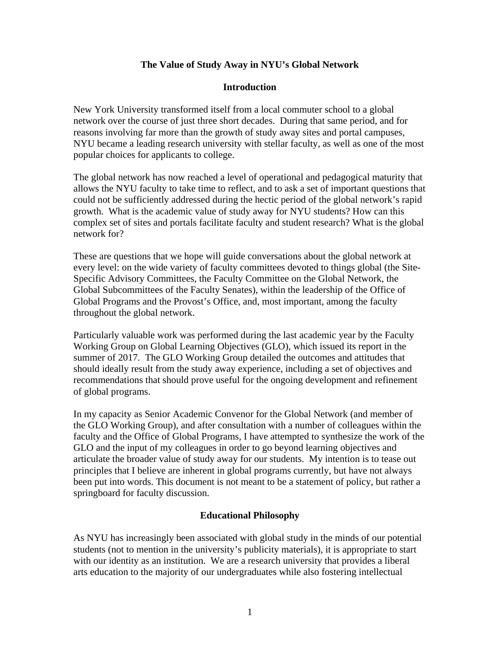### **The Value of Study Away in NYU's Global Network**

### **Introduction**

New York University transformed itself from a local commuter school to a global network over the course of just three short decades. During that same period, and for reasons involving far more than the growth of study away sites and portal campuses, NYU became a leading research university with stellar faculty, as well as one of the most popular choices for applicants to college.

The global network has now reached a level of operational and pedagogical maturity that allows the NYU faculty to take time to reflect, and to ask a set of important questions that could not be sufficiently addressed during the hectic period of the global network's rapid growth. What is the academic value of study away for NYU students? How can this complex set of sites and portals facilitate faculty and student research? What is the global network for?

These are questions that we hope will guide conversations about the global network at every level: on the wide variety of faculty committees devoted to things global (the Site-Specific Advisory Committees, the Faculty Committee on the Global Network, the Global Subcommittees of the Faculty Senates), within the leadership of the Office of Global Programs and the Provost's Office, and, most important, among the faculty throughout the global network.

Particularly valuable work was performed during the last academic year by the Faculty Working Group on Global Learning Objectives (GLO), which issued its report in the summer of 2017. The GLO Working Group detailed the outcomes and attitudes that should ideally result from the study away experience, including a set of objectives and recommendations that should prove useful for the ongoing development and refinement of global programs.

In my capacity as Senior Academic Convenor for the Global Network (and member of the GLO Working Group), and after consultation with a number of colleagues within the faculty and the Office of Global Programs, I have attempted to synthesize the work of the GLO and the input of my colleagues in order to go beyond learning objectives and articulate the broader value of study away for our students. My intention is to tease out principles that I believe are inherent in global programs currently, but have not always been put into words. This document is not meant to be a statement of policy, but rather a springboard for faculty discussion.

### **Educational Philosophy**

As NYU has increasingly been associated with global study in the minds of our potential students (not to mention in the university's publicity materials), it is appropriate to start with our identity as an institution. We are a research university that provides a liberal arts education to the majority of our undergraduates while also fostering intellectual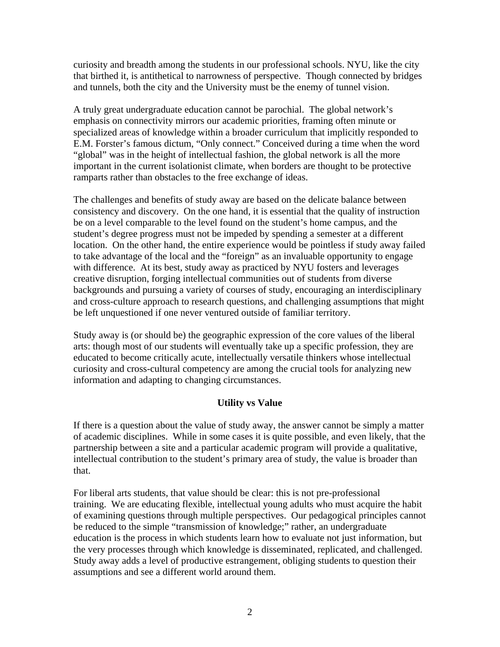curiosity and breadth among the students in our professional schools. NYU, like the city that birthed it, is antithetical to narrowness of perspective. Though connected by bridges and tunnels, both the city and the University must be the enemy of tunnel vision.

A truly great undergraduate education cannot be parochial. The global network's emphasis on connectivity mirrors our academic priorities, framing often minute or specialized areas of knowledge within a broader curriculum that implicitly responded to E.M. Forster's famous dictum, "Only connect." Conceived during a time when the word "global" was in the height of intellectual fashion, the global network is all the more important in the current isolationist climate, when borders are thought to be protective ramparts rather than obstacles to the free exchange of ideas.

The challenges and benefits of study away are based on the delicate balance between consistency and discovery. On the one hand, it is essential that the quality of instruction be on a level comparable to the level found on the student's home campus, and the student's degree progress must not be impeded by spending a semester at a different location. On the other hand, the entire experience would be pointless if study away failed to take advantage of the local and the "foreign" as an invaluable opportunity to engage with difference. At its best, study away as practiced by NYU fosters and leverages creative disruption, forging intellectual communities out of students from diverse backgrounds and pursuing a variety of courses of study, encouraging an interdisciplinary and cross-culture approach to research questions, and challenging assumptions that might be left unquestioned if one never ventured outside of familiar territory.

Study away is (or should be) the geographic expression of the core values of the liberal arts: though most of our students will eventually take up a specific profession, they are educated to become critically acute, intellectually versatile thinkers whose intellectual curiosity and cross-cultural competency are among the crucial tools for analyzing new information and adapting to changing circumstances.

# **Utility vs Value**

If there is a question about the value of study away, the answer cannot be simply a matter of academic disciplines. While in some cases it is quite possible, and even likely, that the partnership between a site and a particular academic program will provide a qualitative, intellectual contribution to the student's primary area of study, the value is broader than that.

For liberal arts students, that value should be clear: this is not pre-professional training. We are educating flexible, intellectual young adults who must acquire the habit of examining questions through multiple perspectives. Our pedagogical principles cannot be reduced to the simple "transmission of knowledge;" rather, an undergraduate education is the process in which students learn how to evaluate not just information, but the very processes through which knowledge is disseminated, replicated, and challenged. Study away adds a level of productive estrangement, obliging students to question their assumptions and see a different world around them.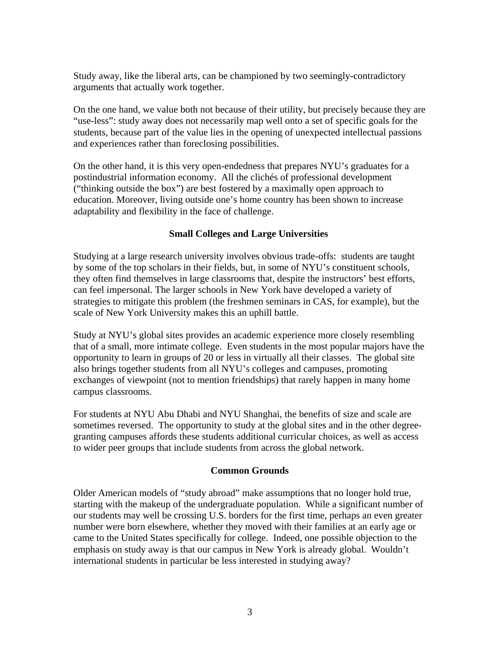Study away, like the liberal arts, can be championed by two seemingly-contradictory arguments that actually work together.

On the one hand, we value both not because of their utility, but precisely because they are "use-less": study away does not necessarily map well onto a set of specific goals for the students, because part of the value lies in the opening of unexpected intellectual passions and experiences rather than foreclosing possibilities.

On the other hand, it is this very open-endedness that prepares NYU's graduates for a postindustrial information economy. All the clichés of professional development ("thinking outside the box") are best fostered by a maximally open approach to education. Moreover, living outside one's home country has been shown to increase adaptability and flexibility in the face of challenge.

## **Small Colleges and Large Universities**

Studying at a large research university involves obvious trade-offs: students are taught by some of the top scholars in their fields, but, in some of NYU's constituent schools, they often find themselves in large classrooms that, despite the instructors' best efforts, can feel impersonal. The larger schools in New York have developed a variety of strategies to mitigate this problem (the freshmen seminars in CAS, for example), but the scale of New York University makes this an uphill battle.

Study at NYU's global sites provides an academic experience more closely resembling that of a small, more intimate college. Even students in the most popular majors have the opportunity to learn in groups of 20 or less in virtually all their classes. The global site also brings together students from all NYU's colleges and campuses, promoting exchanges of viewpoint (not to mention friendships) that rarely happen in many home campus classrooms.

For students at NYU Abu Dhabi and NYU Shanghai, the benefits of size and scale are sometimes reversed. The opportunity to study at the global sites and in the other degreegranting campuses affords these students additional curricular choices, as well as access to wider peer groups that include students from across the global network.

# **Common Grounds**

Older American models of "study abroad" make assumptions that no longer hold true, starting with the makeup of the undergraduate population. While a significant number of our students may well be crossing U.S. borders for the first time, perhaps an even greater number were born elsewhere, whether they moved with their families at an early age or came to the United States specifically for college. Indeed, one possible objection to the emphasis on study away is that our campus in New York is already global. Wouldn't international students in particular be less interested in studying away?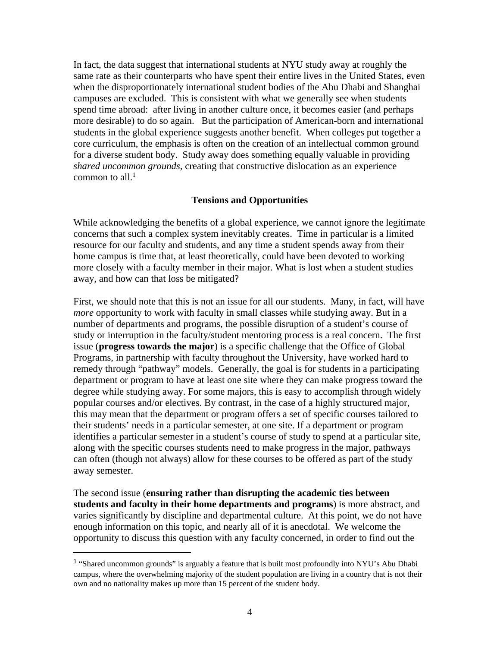In fact, the data suggest that international students at NYU study away at roughly the same rate as their counterparts who have spent their entire lives in the United States, even when the disproportionately international student bodies of the Abu Dhabi and Shanghai campuses are excluded. This is consistent with what we generally see when students spend time abroad: after living in another culture once, it becomes easier (and perhaps more desirable) to do so again. But the participation of American-born and international students in the global experience suggests another benefit. When colleges put together a core curriculum, the emphasis is often on the creation of an intellectual common ground for a diverse student body. Study away does something equally valuable in providing *shared uncommon grounds,* creating that constructive dislocation as an experience common to all. $<sup>1</sup>$ </sup>

#### **Tensions and Opportunities**

While acknowledging the benefits of a global experience, we cannot ignore the legitimate concerns that such a complex system inevitably creates. Time in particular is a limited resource for our faculty and students, and any time a student spends away from their home campus is time that, at least theoretically, could have been devoted to working more closely with a faculty member in their major. What is lost when a student studies away, and how can that loss be mitigated?

First, we should note that this is not an issue for all our students. Many, in fact, will have *more* opportunity to work with faculty in small classes while studying away. But in a number of departments and programs, the possible disruption of a student's course of study or interruption in the faculty/student mentoring process is a real concern. The first issue (**progress towards the major**) is a specific challenge that the Office of Global Programs, in partnership with faculty throughout the University, have worked hard to remedy through "pathway" models. Generally, the goal is for students in a participating department or program to have at least one site where they can make progress toward the degree while studying away. For some majors, this is easy to accomplish through widely popular courses and/or electives. By contrast, in the case of a highly structured major, this may mean that the department or program offers a set of specific courses tailored to their students' needs in a particular semester, at one site. If a department or program identifies a particular semester in a student's course of study to spend at a particular site, along with the specific courses students need to make progress in the major, pathways can often (though not always) allow for these courses to be offered as part of the study away semester.

The second issue (**ensuring rather than disrupting the academic ties between students and faculty in their home departments and programs**) is more abstract, and varies significantly by discipline and departmental culture. At this point, we do not have enough information on this topic, and nearly all of it is anecdotal. We welcome the opportunity to discuss this question with any faculty concerned, in order to find out the

<sup>&</sup>lt;sup>1</sup> "Shared uncommon grounds" is arguably a feature that is built most profoundly into NYU's Abu Dhabi campus, where the overwhelming majority of the student population are living in a country that is not their own and no nationality makes up more than 15 percent of the student body.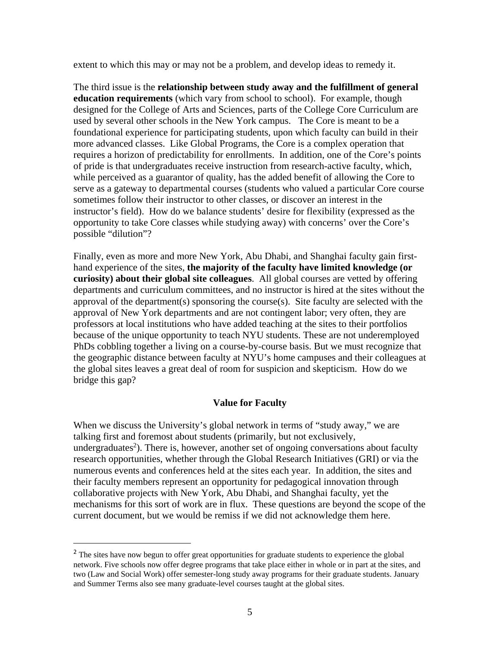extent to which this may or may not be a problem, and develop ideas to remedy it.

The third issue is the **relationship between study away and the fulfillment of general education requirements** (which vary from school to school). For example, though designed for the College of Arts and Sciences, parts of the College Core Curriculum are used by several other schools in the New York campus. The Core is meant to be a foundational experience for participating students, upon which faculty can build in their more advanced classes. Like Global Programs, the Core is a complex operation that requires a horizon of predictability for enrollments. In addition, one of the Core's points of pride is that undergraduates receive instruction from research-active faculty, which, while perceived as a guarantor of quality, has the added benefit of allowing the Core to serve as a gateway to departmental courses (students who valued a particular Core course sometimes follow their instructor to other classes, or discover an interest in the instructor's field). How do we balance students' desire for flexibility (expressed as the opportunity to take Core classes while studying away) with concerns' over the Core's possible "dilution"?

Finally, even as more and more New York, Abu Dhabi, and Shanghai faculty gain firsthand experience of the sites, **the majority of the faculty have limited knowledge (or curiosity) about their global site colleagues**. All global courses are vetted by offering departments and curriculum committees, and no instructor is hired at the sites without the approval of the department(s) sponsoring the course(s). Site faculty are selected with the approval of New York departments and are not contingent labor; very often, they are professors at local institutions who have added teaching at the sites to their portfolios because of the unique opportunity to teach NYU students. These are not underemployed PhDs cobbling together a living on a course-by-course basis. But we must recognize that the geographic distance between faculty at NYU's home campuses and their colleagues at the global sites leaves a great deal of room for suspicion and skepticism. How do we bridge this gap?

#### **Value for Faculty**

When we discuss the University's global network in terms of "study away," we are talking first and foremost about students (primarily, but not exclusively, undergraduates<sup>2</sup>). There is, however, another set of ongoing conversations about faculty research opportunities, whether through the Global Research Initiatives (GRI) or via the numerous events and conferences held at the sites each year. In addition, the sites and their faculty members represent an opportunity for pedagogical innovation through collaborative projects with New York, Abu Dhabi, and Shanghai faculty, yet the mechanisms for this sort of work are in flux. These questions are beyond the scope of the current document, but we would be remiss if we did not acknowledge them here.

<sup>&</sup>lt;sup>2</sup> The sites have now begun to offer great opportunities for graduate students to experience the global network. Five schools now offer degree programs that take place either in whole or in part at the sites, and two (Law and Social Work) offer semester-long study away programs for their graduate students. January and Summer Terms also see many graduate-level courses taught at the global sites.